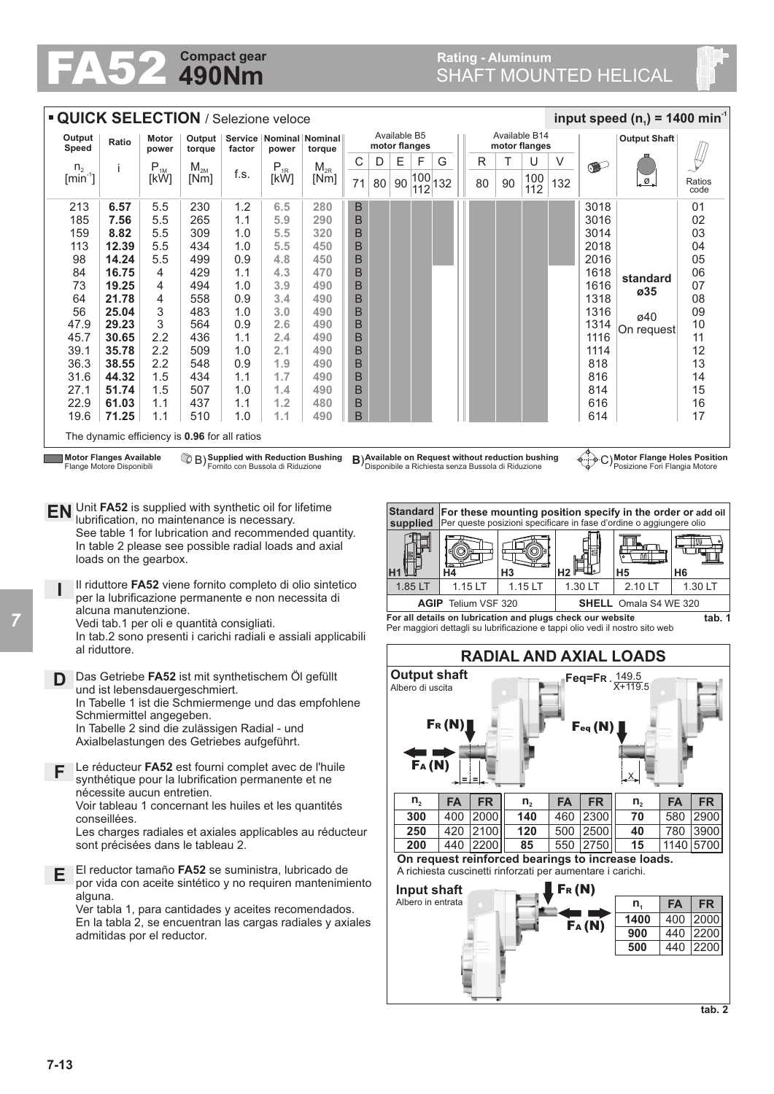## **Rating - Aluminum**

| <b>Compact gear</b><br>490Nm                                                                                                                                                                                                                                                                                                                                                                                                                                                                                                                                                                                                                                                                                                                          |                                                                                                                                                                                                                                                                                 |                                                                                                           |                                                                                                                     |                                                                                                                     |                                                                                                                     |                                                                                                                     |                                                                                                                                               |                               | <b>Rating - Aluminum</b><br><b>SHAFT MOUNTED HELICAL</b>                                            |                                |                                                                                        |         |                                           |                |                             |                     |                                                                                                                                 |                                                                                                                                                                                                                                                                                                                                                                        |                                                                                                    |  |
|-------------------------------------------------------------------------------------------------------------------------------------------------------------------------------------------------------------------------------------------------------------------------------------------------------------------------------------------------------------------------------------------------------------------------------------------------------------------------------------------------------------------------------------------------------------------------------------------------------------------------------------------------------------------------------------------------------------------------------------------------------|---------------------------------------------------------------------------------------------------------------------------------------------------------------------------------------------------------------------------------------------------------------------------------|-----------------------------------------------------------------------------------------------------------|---------------------------------------------------------------------------------------------------------------------|---------------------------------------------------------------------------------------------------------------------|---------------------------------------------------------------------------------------------------------------------|---------------------------------------------------------------------------------------------------------------------|-----------------------------------------------------------------------------------------------------------------------------------------------|-------------------------------|-----------------------------------------------------------------------------------------------------|--------------------------------|----------------------------------------------------------------------------------------|---------|-------------------------------------------|----------------|-----------------------------|---------------------|---------------------------------------------------------------------------------------------------------------------------------|------------------------------------------------------------------------------------------------------------------------------------------------------------------------------------------------------------------------------------------------------------------------------------------------------------------------------------------------------------------------|----------------------------------------------------------------------------------------------------|--|
| <b>QUICK SELECTION / Selezione veloce</b><br>input speed ( $n_1$ ) = 1400 min <sup>-1</sup>                                                                                                                                                                                                                                                                                                                                                                                                                                                                                                                                                                                                                                                           |                                                                                                                                                                                                                                                                                 |                                                                                                           |                                                                                                                     |                                                                                                                     |                                                                                                                     |                                                                                                                     |                                                                                                                                               |                               |                                                                                                     |                                |                                                                                        |         |                                           |                |                             |                     |                                                                                                                                 |                                                                                                                                                                                                                                                                                                                                                                        |                                                                                                    |  |
| Output                                                                                                                                                                                                                                                                                                                                                                                                                                                                                                                                                                                                                                                                                                                                                |                                                                                                                                                                                                                                                                                 | Motor                                                                                                     | Output                                                                                                              |                                                                                                                     |                                                                                                                     | Service   Nominal   Nominal                                                                                         |                                                                                                                                               | Available B14<br>Available B5 |                                                                                                     |                                |                                                                                        |         |                                           |                |                             | <b>Output Shaft</b> |                                                                                                                                 |                                                                                                                                                                                                                                                                                                                                                                        |                                                                                                    |  |
| Speed                                                                                                                                                                                                                                                                                                                                                                                                                                                                                                                                                                                                                                                                                                                                                 | Ratio                                                                                                                                                                                                                                                                           | power                                                                                                     | torque                                                                                                              | factor                                                                                                              | power                                                                                                               | torque                                                                                                              |                                                                                                                                               | motor flanges                 |                                                                                                     |                                |                                                                                        |         |                                           |                | motor flanges               |                     |                                                                                                                                 |                                                                                                                                                                                                                                                                                                                                                                        |                                                                                                    |  |
| n <sub>2</sub><br>$\left[\text{min}^{\text{-}1}\right]$                                                                                                                                                                                                                                                                                                                                                                                                                                                                                                                                                                                                                                                                                               | J.                                                                                                                                                                                                                                                                              | $P_{1M}$<br>[kW]                                                                                          | $M_{2M}$<br>[Nm]                                                                                                    | f.s.                                                                                                                | $\mathsf{P}_{\text{\rm 1R}}$<br>[kW]                                                                                | $M_{2R}$<br>[Nm]                                                                                                    | C<br>71                                                                                                                                       | D<br>80                       | Е<br>90                                                                                             | F<br>$\frac{ 100 }{ 112 }$ 132 | G                                                                                      |         | R<br>80                                   | Т<br>90        | U<br>100<br>112             | V<br>132            | $\bullet$                                                                                                                       | .ø.                                                                                                                                                                                                                                                                                                                                                                    | Ratios<br>code                                                                                     |  |
| 213<br>185<br>159<br>113<br>98<br>84<br>73<br>64<br>56<br>47.9<br>45.7<br>39.1<br>36.3<br>31.6<br>27.1<br>22.9<br>19.6                                                                                                                                                                                                                                                                                                                                                                                                                                                                                                                                                                                                                                | 6.57<br>7.56<br>8.82<br>12.39<br>14.24<br>16.75<br>19.25<br>21.78<br>25.04<br>29.23<br>30.65<br>35.78<br>38.55<br>44.32<br>51.74<br>61.03<br>71.25                                                                                                                              | 5.5<br>5.5<br>5.5<br>5.5<br>5.5<br>4<br>4<br>4<br>3<br>3<br>2.2<br>2.2<br>2.2<br>1.5<br>1.5<br>1.1<br>1.1 | 230<br>265<br>309<br>434<br>499<br>429<br>494<br>558<br>483<br>564<br>436<br>509<br>548<br>434<br>507<br>437<br>510 | 1.2<br>1.1<br>1.0<br>1.0<br>0.9<br>1.1<br>1.0<br>0.9<br>1.0<br>0.9<br>1.1<br>1.0<br>0.9<br>1.1<br>1.0<br>1.1<br>1.0 | 6.5<br>5.9<br>5.5<br>5.5<br>4.8<br>4.3<br>3.9<br>3.4<br>3.0<br>2.6<br>2.4<br>2.1<br>1.9<br>1.7<br>1.4<br>1.2<br>1.1 | 280<br>290<br>320<br>450<br>450<br>470<br>490<br>490<br>490<br>490<br>490<br>490<br>490<br>490<br>490<br>480<br>490 | B<br>$\mathsf B$<br>$\mathsf B$<br>B<br>$\mathsf B$<br>$\mathsf B$<br>B<br>B<br>$\mathsf B$<br>B<br>B<br>B<br>B<br>$\mathsf B$<br>B<br>B<br>B |                               |                                                                                                     |                                |                                                                                        |         |                                           |                |                             |                     | 3018<br>3016<br>3014<br>2018<br>2016<br>1618<br>1616<br>1318<br>1316<br>1314<br>1116<br>1114<br>818<br>816<br>814<br>616<br>614 | standard<br>ø35<br>ø40<br>On request                                                                                                                                                                                                                                                                                                                                   | 01<br>02<br>03<br>04<br>05<br>06<br>07<br>08<br>09<br>10<br>11<br>12<br>13<br>14<br>15<br>16<br>17 |  |
|                                                                                                                                                                                                                                                                                                                                                                                                                                                                                                                                                                                                                                                                                                                                                       | The dynamic efficiency is 0.96 for all ratios                                                                                                                                                                                                                                   |                                                                                                           |                                                                                                                     |                                                                                                                     |                                                                                                                     |                                                                                                                     |                                                                                                                                               |                               |                                                                                                     |                                |                                                                                        |         |                                           |                |                             |                     |                                                                                                                                 |                                                                                                                                                                                                                                                                                                                                                                        |                                                                                                    |  |
| <b>Motor Flanges Available</b><br>B) Available on Request without reduction bushing<br><sup>7</sup> B) Supplied with Reduction Bushing<br>Fornito con Bussola di Riduzione<br>Flange Motore Disponibili<br>Unit FA52 is supplied with synthetic oil for lifetime<br><b>EN</b><br>lubrification, no maintenance is necessary.<br>See table 1 for lubrication and recommended quantity.<br>In table 2 please see possible radial loads and axial<br>loads on the gearbox.<br>Il riduttore FA52 viene fornito completo di olio sintetico<br>per la lubrificazione permanente e non necessita di<br>alcuna manutenzione.<br>Vedi tab.1 per oli e quantità consigliati.<br>In tab.2 sono presenti i carichi radiali e assiali applicabili<br>al riduttore. |                                                                                                                                                                                                                                                                                 |                                                                                                           |                                                                                                                     |                                                                                                                     |                                                                                                                     |                                                                                                                     |                                                                                                                                               |                               | <b>Standard</b><br>supplied<br>H <sub>1</sub><br>1.85 LT                                            |                                | Disponibile a Richiesta senza Bussola di Riduzione<br>Η4<br><b>AGIP</b> Telium VSF 320 | 1.15 LT |                                           | H <sub>3</sub> | 1.15 LT                     | Н2                  | -¢-⊹-⊄<br>1.30 LT<br>For all details on lubrication and plugs check our website                                                 | ◯ ) Motor Flange Holes Position<br>Posizione Fori Flangia Motore<br>For these mounting position specify in the order or add oil<br>Per queste posizioni specificare in fase d'ordine o aggiungere olio<br><u>Eur</u><br>▥<br>H <sub>5</sub><br>2.10 LT<br><b>SHELL</b> Omala S4 WE 320<br>Per maggiori dettagli su lubrificazione e tappi olio vedi il nostro sito web | H <sub>6</sub><br>1.30 LT<br>tab.                                                                  |  |
|                                                                                                                                                                                                                                                                                                                                                                                                                                                                                                                                                                                                                                                                                                                                                       |                                                                                                                                                                                                                                                                                 |                                                                                                           |                                                                                                                     |                                                                                                                     |                                                                                                                     |                                                                                                                     |                                                                                                                                               |                               |                                                                                                     |                                |                                                                                        |         |                                           |                |                             |                     |                                                                                                                                 | <b>RADIAL AND AXIAL LOADS</b>                                                                                                                                                                                                                                                                                                                                          |                                                                                                    |  |
| Das Getriebe FA52 ist mit synthetischem Öl gefüllt<br>D<br>und ist lebensdauergeschmiert.<br>In Tabelle 1 ist die Schmiermenge und das empfohlene<br>Schmiermittel angegeben.<br>In Tabelle 2 sind die zulässigen Radial - und<br>Axialbelastungen des Getriebes aufgeführt.                                                                                                                                                                                                                                                                                                                                                                                                                                                                          |                                                                                                                                                                                                                                                                                 |                                                                                                           |                                                                                                                     |                                                                                                                     |                                                                                                                     |                                                                                                                     |                                                                                                                                               |                               | <b>Output shaft</b><br>Feq=FR. 149.5<br>$X + 119.5$<br>Albero di uscita<br>Fr(N)<br>Feq(N)<br>FA(M) |                                |                                                                                        |         |                                           |                |                             |                     |                                                                                                                                 |                                                                                                                                                                                                                                                                                                                                                                        |                                                                                                    |  |
| Le réducteur FA52 est fourni complet avec de l'huile<br>F<br>synthétique pour la lubrification permanente et ne<br>nécessite aucun entretien.<br>Voir tableau 1 concernant les huiles et les quantités<br>conseillées.<br>Les charges radiales et axiales applicables au réducteur<br>sont précisées dans le tableau 2.                                                                                                                                                                                                                                                                                                                                                                                                                               |                                                                                                                                                                                                                                                                                 |                                                                                                           |                                                                                                                     |                                                                                                                     |                                                                                                                     |                                                                                                                     |                                                                                                                                               |                               |                                                                                                     | $n_{2}$<br>300<br>250<br>200   | <b>FA</b><br>400                                                                       |         | <b>FR</b><br>2000<br>420 2100<br>440 2200 |                | $n_{2}$<br>140<br>120<br>85 | <b>FA</b><br>460    | <b>FR</b><br>2300<br>500 2500<br>550 2750                                                                                       | <b>FA</b><br>$n_{2}$<br>580<br>70<br>780<br>40<br>15<br>On request reinforced bearings to increase loads.                                                                                                                                                                                                                                                              | FR.<br>2900<br>3900<br>1140 5700                                                                   |  |
| E                                                                                                                                                                                                                                                                                                                                                                                                                                                                                                                                                                                                                                                                                                                                                     | El reductor tamaño FA52 se suministra, lubricado de<br>por vida con aceite sintético y no requiren mantenimiento<br>alguna.<br>Ver tabla 1, para cantidades y aceites recomendados.<br>En la tabla 2, se encuentran las cargas radiales y axiales<br>admitidas por el reductor. |                                                                                                           |                                                                                                                     |                                                                                                                     |                                                                                                                     |                                                                                                                     |                                                                                                                                               |                               |                                                                                                     |                                | Input shaft<br>Albero in entrata                                                       |         |                                           |                |                             | Fr(M)               | A richiesta cuscinetti rinforzati per aumentare i carichi.<br>Fa (N)                                                            | <b>FA</b><br>n <sub>1</sub><br>1400<br>400<br>900<br>440<br>500<br>440                                                                                                                                                                                                                                                                                                 | <b>FR</b><br>2000<br>2200<br>2200<br>tab. 2                                                        |  |

*7*

**tab. 1**